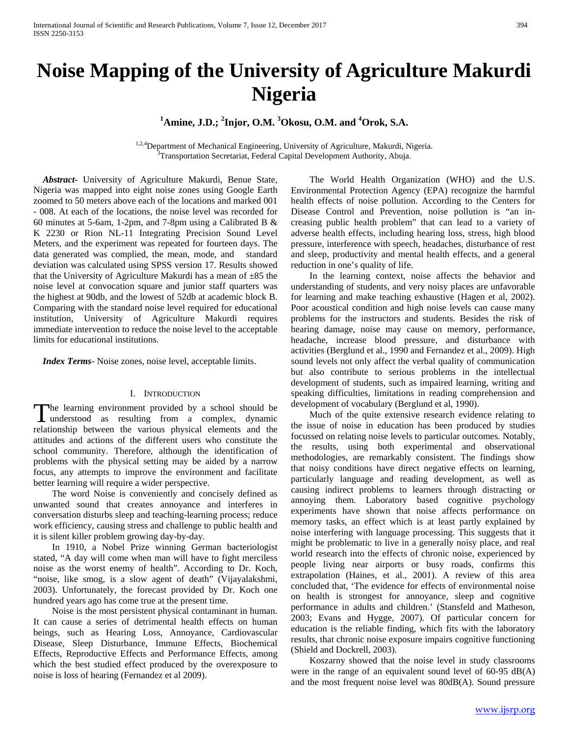# **Noise Mapping of the University of Agriculture Makurdi Nigeria**

**1 Amine, J.D.; <sup>2</sup> Injor, O.M. <sup>3</sup> Okosu, O.M. and <sup>4</sup> Orok, S.A.** 

<sup>1,2,4</sup>Department of Mechanical Engineering, University of Agriculture, Makurdi, Nigeria. Transportation Secretariat, Federal Capital Development Authority, Abuja.

 *Abstract***-** University of Agriculture Makurdi, Benue State, Nigeria was mapped into eight noise zones using Google Earth zoomed to 50 meters above each of the locations and marked 001 - 008. At each of the locations, the noise level was recorded for 60 minutes at 5-6am, 1-2pm, and 7-8pm using a Calibrated B & K 2230 or Rion NL-11 Integrating Precision Sound Level Meters, and the experiment was repeated for fourteen days. The data generated was complied, the mean, mode, and standard deviation was calculated using SPSS version 17. Results showed that the University of Agriculture Makurdi has a mean of  $\pm 85$  the noise level at convocation square and junior staff quarters was the highest at 90db, and the lowest of 52db at academic block B. Comparing with the standard noise level required for educational institution, University of Agriculture Makurdi requires immediate intervention to reduce the noise level to the acceptable limits for educational institutions.

 *Index Terms*- Noise zones, noise level, acceptable limits.

## I. INTRODUCTION

he learning environment provided by a school should be The learning environment provided by a school should be understood as resulting from a complex, dynamic relationship between the various physical elements and the attitudes and actions of the different users who constitute the school community. Therefore, although the identification of problems with the physical setting may be aided by a narrow focus, any attempts to improve the environment and facilitate better learning will require a wider perspective.

 The word Noise is conveniently and concisely defined as unwanted sound that creates annoyance and interferes in conversation disturbs sleep and teaching-learning process; reduce work efficiency, causing stress and challenge to public health and it is silent killer problem growing day-by-day.

 In 1910, a Nobel Prize winning German bacteriologist stated, "A day will come when man will have to fight merciless noise as the worst enemy of health". According to Dr. Koch, "noise, like smog, is a slow agent of death" (Vijayalakshmi, 2003). Unfortunately, the forecast provided by Dr. Koch one hundred years ago has come true at the present time.

 Noise is the most persistent physical contaminant in human. It can cause a series of detrimental health effects on human beings, such as Hearing Loss, Annoyance, Cardiovascular Disease, Sleep Disturbance, Immune Effects, Biochemical Effects, Reproductive Effects and Performance Effects, among which the best studied effect produced by the overexposure to noise is loss of hearing (Fernandez et al 2009).

 The World Health Organization (WHO) and the U.S. Environmental Protection Agency (EPA) recognize the harmful health effects of noise pollution. According to the Centers for Disease Control and Prevention, noise pollution is "an increasing public health problem" that can lead to a variety of adverse health effects, including hearing loss, stress, high blood pressure, interference with speech, headaches, disturbance of rest and sleep, productivity and mental health effects, and a general reduction in one's quality of life.

 In the learning context, noise affects the behavior and understanding of students, and very noisy places are unfavorable for learning and make teaching exhaustive (Hagen et al, 2002). Poor acoustical condition and high noise levels can cause many problems for the instructors and students. Besides the risk of hearing damage, noise may cause on memory, performance, headache, increase blood pressure, and disturbance with activities (Berglund et al., 1990 and Fernandez et al., 2009). High sound levels not only affect the verbal quality of communication but also contribute to serious problems in the intellectual development of students, such as impaired learning, writing and speaking difficulties, limitations in reading comprehension and development of vocabulary (Berglund et al, 1990).

 Much of the quite extensive research evidence relating to the issue of noise in education has been produced by studies focussed on relating noise levels to particular outcomes. Notably, the results, using both experimental and observational methodologies, are remarkably consistent. The findings show that noisy conditions have direct negative effects on learning, particularly language and reading development, as well as causing indirect problems to learners through distracting or annoying them. Laboratory based cognitive psychology experiments have shown that noise affects performance on memory tasks, an effect which is at least partly explained by noise interfering with language processing. This suggests that it might be problematic to live in a generally noisy place, and real world research into the effects of chronic noise, experienced by people living near airports or busy roads, confirms this extrapolation (Haines, et al., 2001). A review of this area concluded that, 'The evidence for effects of environmental noise on health is strongest for annoyance, sleep and cognitive performance in adults and children.' (Stansfeld and Matheson, 2003; Evans and Hygge, 2007). Of particular concern for education is the reliable finding, which fits with the laboratory results, that chronic noise exposure impairs cognitive functioning (Shield and Dockrell, 2003).

 Koszarny showed that the noise level in study classrooms were in the range of an equivalent sound level of 60-95 dB(A) and the most frequent noise level was 80dB(A). Sound pressure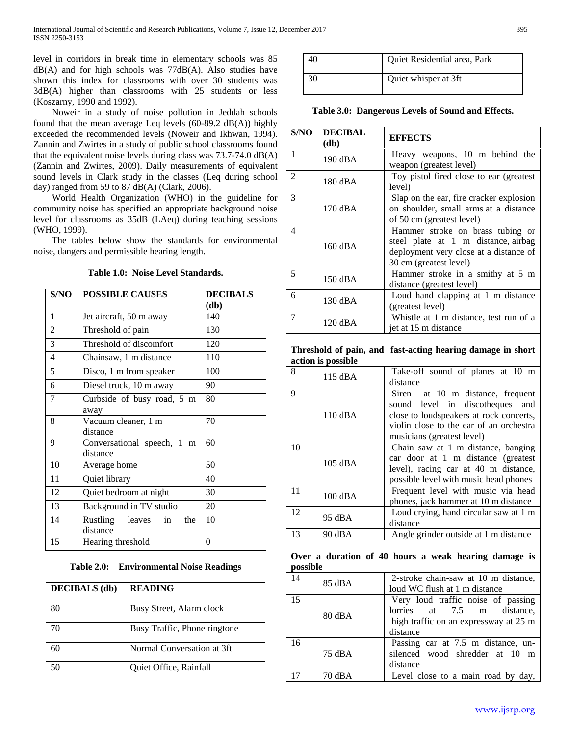level in corridors in break time in elementary schools was 85 dB(A) and for high schools was 77dB(A). Also studies have shown this index for classrooms with over 30 students was 3dB(A) higher than classrooms with 25 students or less (Koszarny, 1990 and 1992).

 Noweir in a study of noise pollution in Jeddah schools found that the mean average Leq levels (60-89.2 dB(A)) highly exceeded the recommended levels (Noweir and Ikhwan, 1994). Zannin and Zwirtes in a study of public school classrooms found that the equivalent noise levels during class was 73.7-74.0 dB(A) (Zannin and Zwirtes, 2009). Daily measurements of equivalent sound levels in Clark study in the classes (Leq during school day) ranged from 59 to 87 dB(A) (Clark, 2006).

 World Health Organization (WHO) in the guideline for community noise has specified an appropriate background noise level for classrooms as 35dB (LAeq) during teaching sessions (WHO, 1999).

 The tables below show the standards for environmental noise, dangers and permissible hearing length.

# **Table 1.0: Noise Level Standards.**

| S/NO           | <b>POSSIBLE CAUSES</b>                      | <b>DECIBALS</b><br>$(d\mathbf{b})$ |
|----------------|---------------------------------------------|------------------------------------|
| 1              | Jet aircraft, 50 m away                     | 140                                |
| 2              | Threshold of pain                           | 130                                |
| 3              | Threshold of discomfort                     | 120                                |
| $\overline{4}$ | Chainsaw, 1 m distance                      | 110                                |
| 5              | Disco, 1 m from speaker                     | 100                                |
| 6              | Diesel truck, 10 m away                     | 90                                 |
| 7              | Curbside of busy road, 5 m<br>away          | 80                                 |
| 8              | Vacuum cleaner, 1 m<br>distance             | 70                                 |
| 9              | Conversational speech, 1<br>m<br>distance   | 60                                 |
| 10             | Average home                                | 50                                 |
| 11             | Quiet library                               | 40                                 |
| 12             | Quiet bedroom at night                      | 30                                 |
| 13             | Background in TV studio                     | 20                                 |
| 14             | Rustling<br>leaves<br>the<br>in<br>distance | 10                                 |
| 15             | Hearing threshold                           | 0                                  |

**Table 2.0: Environmental Noise Readings**

| <b>DECIBALS</b> (db) | <b>READING</b>               |
|----------------------|------------------------------|
| 80                   | Busy Street, Alarm clock     |
| 70                   | Busy Traffic, Phone ringtone |
| 60                   | Normal Conversation at 3ft   |
|                      | Quiet Office, Rainfall       |

|    | Quiet Residential area, Park |
|----|------------------------------|
| 30 | Quiet whisper at 3ft         |

**Table 3.0: Dangerous Levels of Sound and Effects.**

**(db) EFFECTS**

**S/NO DECIBAL** 

| 1              | 190 dBA            | Heavy weapons, 10 m behind the<br>weapon (greatest level)  |
|----------------|--------------------|------------------------------------------------------------|
| $\overline{2}$ |                    | Toy pistol fired close to ear (greatest                    |
|                | 180 dBA            | level)                                                     |
| 3              |                    | Slap on the ear, fire cracker explosion                    |
|                | 170 dBA            | on shoulder, small arms at a distance                      |
|                |                    | of 50 cm (greatest level)                                  |
| $\overline{4}$ |                    | Hammer stroke on brass tubing or                           |
|                |                    | steel plate at 1 m distance, airbag                        |
|                | 160 dBA            | deployment very close at a distance of                     |
|                |                    | 30 cm (greatest level)                                     |
| 5              |                    | Hammer stroke in a smithy at 5 m                           |
|                | 150 dBA            | distance (greatest level)                                  |
| 6              |                    | Loud hand clapping at 1 m distance                         |
|                | 130 dBA            | (greatest level)                                           |
| 7              |                    | Whistle at 1 m distance, test run of a                     |
|                | $120$ dBA          | jet at 15 m distance                                       |
|                |                    |                                                            |
|                |                    | Threshold of pain, and fast-acting hearing damage in short |
|                | action is possible |                                                            |
| 8              | 115 dBA            | Take-off sound of planes at 10 m                           |
|                |                    | distance                                                   |
| 9              |                    | Siren<br>at 10 m distance, frequent                        |
|                |                    | sound level in discotheques<br>and                         |
|                | 110 dBA            | close to loudspeakers at rock concerts,                    |
|                |                    | violin close to the ear of an orchestra                    |
|                |                    | musicians (greatest level)                                 |
| 10             |                    | Chain saw at 1 m distance, banging                         |
|                | 105 dBA            | car door at 1 m distance (greatest                         |
|                |                    | level), racing car at 40 m distance,                       |
|                |                    | possible level with music head phones                      |
| 11             | 100 dBA            | Frequent level with music via head                         |
|                |                    | phones, jack hammer at 10 m distance                       |
| 12             | 95 dBA             | Loud crying, hand circular saw at 1 m                      |
|                |                    | distance                                                   |
| 13             | 90 dBA             | Angle grinder outside at 1 m distance                      |
|                |                    |                                                            |
|                |                    | Over a duration of 40 hours a weak hearing damage is       |
| possible       |                    |                                                            |
| 14             | 85 dBA             | 2-stroke chain-saw at 10 m distance,                       |
|                |                    | loud WC flush at 1 m distance                              |
| 15             |                    | Very loud traffic noise of passing                         |
|                | 80 dBA             | 7.5<br>lorries<br>at<br>m distance,                        |
|                |                    | high traffic on an expressway at 25 m                      |
|                |                    | distance                                                   |
| 16             |                    | Passing car at 7.5 m distance, un-                         |
|                | 75 dBA             | silenced wood shredder at 10<br>m                          |
|                |                    | distance                                                   |
| 17             | 70 dBA             | Level close to a main road by day,                         |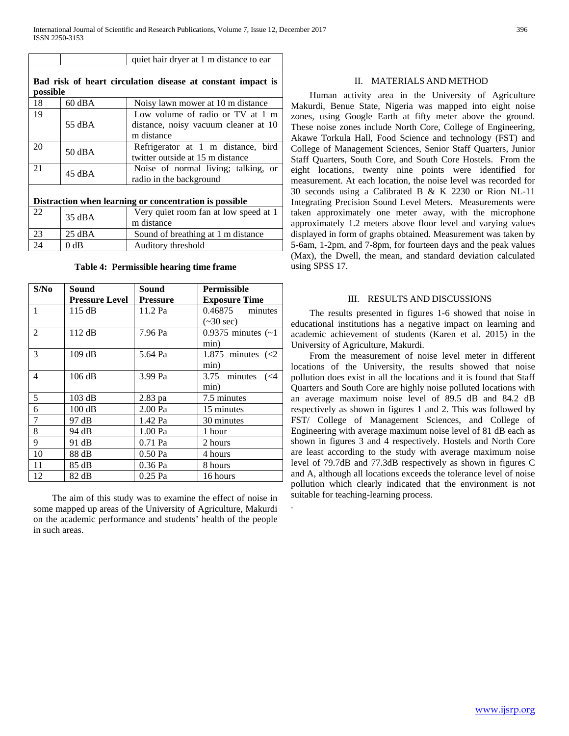|                                                                         |                  | quiet hair dryer at 1 m distance to ear                                                |  |  |
|-------------------------------------------------------------------------|------------------|----------------------------------------------------------------------------------------|--|--|
| Bad risk of heart circulation disease at constant impact is<br>possible |                  |                                                                                        |  |  |
| 18                                                                      | $60$ dBA         | Noisy lawn mower at 10 m distance                                                      |  |  |
| 19                                                                      | 55 dBA           | Low volume of radio or TV at 1 m<br>distance, noisy vacuum cleaner at 10<br>m distance |  |  |
| 20                                                                      | 50 dBA           | Refrigerator at 1 m distance, bird<br>twitter outside at 15 m distance                 |  |  |
| 21                                                                      | $45 \text{ dBA}$ | Noise of normal living; talking, or<br>radio in the background                         |  |  |
| Distraction when learning or concentration is possible.                 |                  |                                                                                        |  |  |
| 22                                                                      | 35 dBA           | Very quiet room fan at low speed at 1<br>m distance                                    |  |  |
| 23                                                                      | $25 \text{ dBA}$ | Sound of breathing at 1 m distance                                                     |  |  |
| 24                                                                      | 0 dB             | Auditory threshold                                                                     |  |  |

**Table 4: Permissible hearing time frame**

| S/No           | Sound                 | Sound           | <b>Permissible</b>         |
|----------------|-----------------------|-----------------|----------------------------|
|                | <b>Pressure Level</b> | <b>Pressure</b> | <b>Exposure Time</b>       |
| $\mathbf{1}$   | 115 dB                | 11.2 Pa         | $0.46875$ minutes          |
|                |                       |                 | $(\sim 30 \text{ sec})$    |
| $\mathfrak{D}$ | 112 dB                | 7.96 Pa         | 0.9375 minutes $(-1)$      |
|                |                       |                 | min)                       |
| 3              | 109 dB                | 5.64 Pa         | 1.875 minutes $\langle$ <2 |
|                |                       |                 | min)                       |
| 4              | 106 dB                | 3.99 Pa         | 3.75 minutes<br>$(<\!\!4$  |
|                |                       |                 | min)                       |
| 5              | 103 dB                | 2.83 pa         | 7.5 minutes                |
| 6              | 100 dB                | 2.00 Pa         | 15 minutes                 |
| 7              | 97 dB                 | 1.42 Pa         | 30 minutes                 |
| 8              | 94 dB                 | 1.00 Pa         | 1 hour                     |
| 9              | 91 dB                 | 0.71 Pa         | 2 hours                    |
| 10             | 88 dB                 | 0.50 Pa         | 4 hours                    |
| 11             | 85 dB                 | 0.36 Pa         | 8 hours                    |
| 12             | 82 dB                 | $0.25$ Pa       | 16 hours                   |

 The aim of this study was to examine the effect of noise in some mapped up areas of the University of Agriculture, Makurdi on the academic performance and students' health of the people in such areas.

.

## II. MATERIALS AND METHOD

 Human activity area in the University of Agriculture Makurdi, Benue State, Nigeria was mapped into eight noise zones, using Google Earth at fifty meter above the ground. These noise zones include North Core, College of Engineering, Akawe Torkula Hall, Food Science and technology (FST) and College of Management Sciences, Senior Staff Quarters, Junior Staff Quarters, South Core, and South Core Hostels. From the eight locations, twenty nine points were identified for measurement. At each location, the noise level was recorded for 30 seconds using a Calibrated B & K 2230 or Rion NL-11 Integrating Precision Sound Level Meters. Measurements were taken approximately one meter away, with the microphone approximately 1.2 meters above floor level and varying values displayed in form of graphs obtained. Measurement was taken by 5-6am, 1-2pm, and 7-8pm, for fourteen days and the peak values (Max), the Dwell, the mean, and standard deviation calculated using SPSS 17.

# III. RESULTS AND DISCUSSIONS

 The results presented in figures 1-6 showed that noise in educational institutions has a negative impact on learning and academic achievement of students (Karen et al. 2015) in the University of Agriculture, Makurdi.

 From the measurement of noise level meter in different locations of the University, the results showed that noise pollution does exist in all the locations and it is found that Staff Quarters and South Core are highly noise polluted locations with an average maximum noise level of 89.5 dB and 84.2 dB respectively as shown in figures 1 and 2. This was followed by FST/ College of Management Sciences, and College of Engineering with average maximum noise level of 81 dB each as shown in figures 3 and 4 respectively. Hostels and North Core are least according to the study with average maximum noise level of 79.7dB and 77.3dB respectively as shown in figures C and A, although all locations exceeds the tolerance level of noise pollution which clearly indicated that the environment is not suitable for teaching-learning process.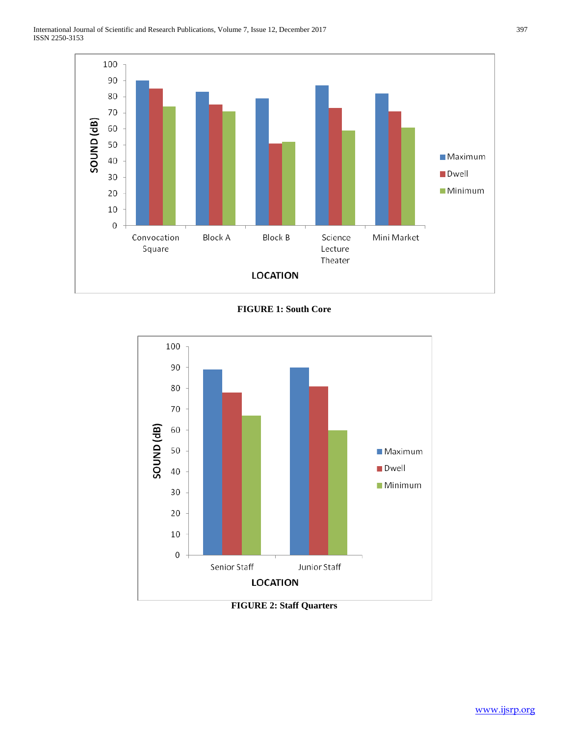

**FIGURE 1: South Core**



**FIGURE 2: Staff Quarters**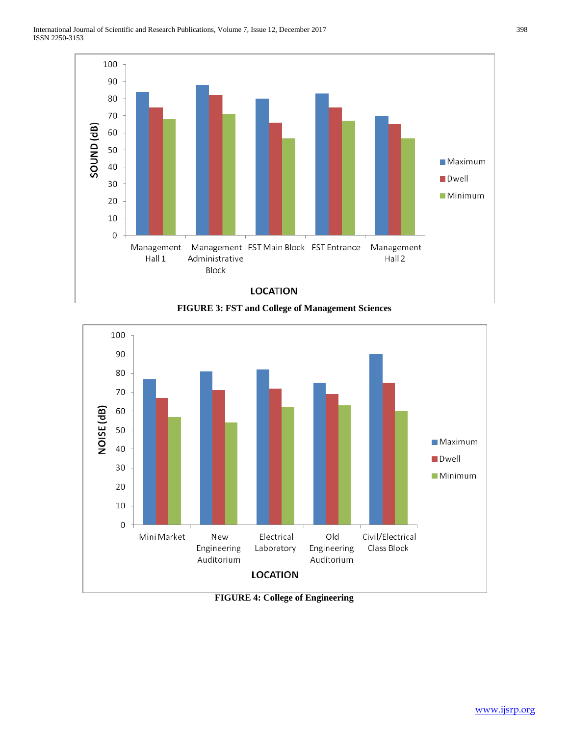





**FIGURE 4: College of Engineering**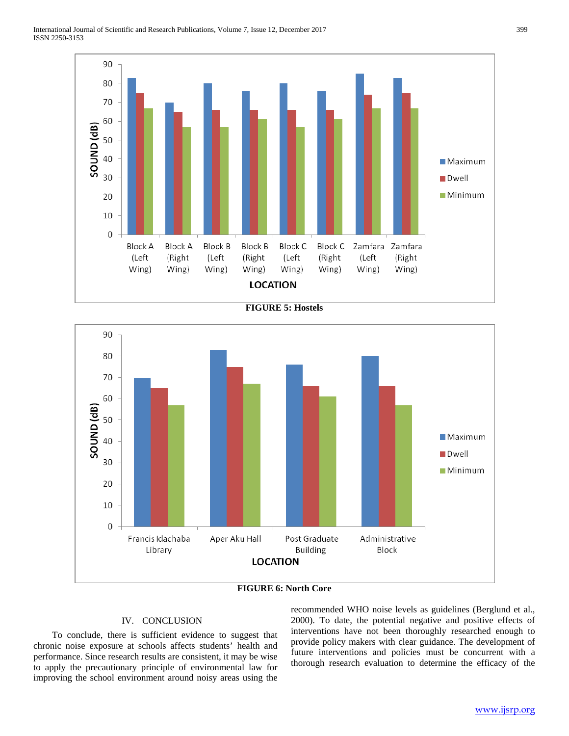

**FIGURE 5: Hostels**



**FIGURE 6: North Core**

# IV. CONCLUSION

 To conclude, there is sufficient evidence to suggest that chronic noise exposure at schools affects students' health and performance. Since research results are consistent, it may be wise to apply the precautionary principle of environmental law for improving the school environment around noisy areas using the recommended WHO noise levels as guidelines (Berglund et al., 2000). To date, the potential negative and positive effects of interventions have not been thoroughly researched enough to provide policy makers with clear guidance. The development of future interventions and policies must be concurrent with a thorough research evaluation to determine the efficacy of the